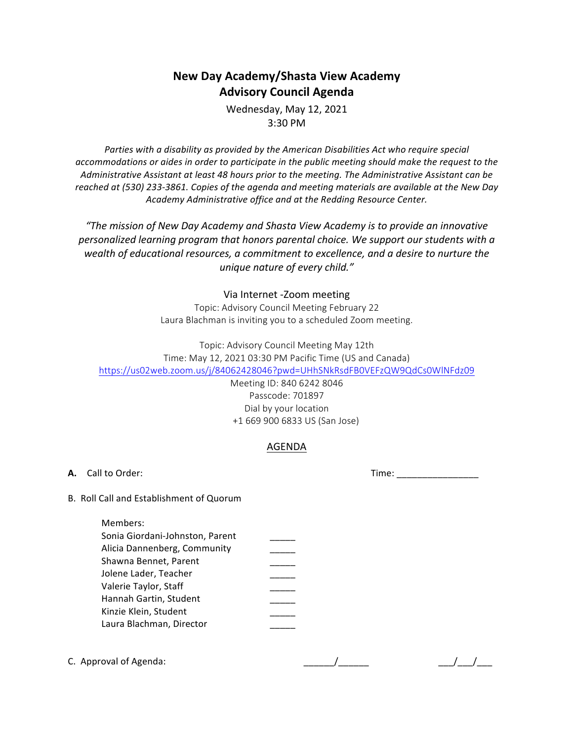## **New Day Academy/Shasta View Academy Advisory Council Agenda**

Wednesday, May 12, 2021 3:30 PM

Parties with a disability as provided by the American Disabilities Act who require special accommodations or aides in order to participate in the public meeting should make the request to the Administrative Assistant at least 48 hours prior to the meeting. The Administrative Assistant can be reached at (530) 233-3861. Copies of the agenda and meeting materials are available at the New Day *Academy Administrative office and at the Redding Resource Center.*

"The mission of New Day Academy and Shasta View Academy is to provide an innovative *personalized learning program that honors parental choice. We support our students with a* wealth of educational resources, a commitment to excellence, and a desire to nurture the *unique nature of every child."* 

## Via Internet -Zoom meeting

Topic: Advisory Council Meeting February 22 Laura Blachman is inviting you to a scheduled Zoom meeting.

Topic: Advisory Council Meeting May 12th Time: May 12, 2021 03:30 PM Pacific Time (US and Canada) https://us02web.zoom.us/j/84062428046?pwd=UHhSNkRsdFB0VEFzQW9QdCs0WlNFdz09

Meeting ID: 840 6242 8046 Passcode: 701897 Dial by your location +1 669 900 6833 US (San Jose)

## AGENDA

| А. | Call to Order:                                                                                                                                                                                                                        | Time: |
|----|---------------------------------------------------------------------------------------------------------------------------------------------------------------------------------------------------------------------------------------|-------|
|    | B. Roll Call and Establishment of Quorum                                                                                                                                                                                              |       |
|    | Members:<br>Sonia Giordani-Johnston, Parent<br>Alicia Dannenberg, Community<br>Shawna Bennet, Parent<br>Jolene Lader, Teacher<br>Valerie Taylor, Staff<br>Hannah Gartin, Student<br>Kinzie Klein, Student<br>Laura Blachman, Director |       |
|    | C. Approval of Agenda:                                                                                                                                                                                                                |       |